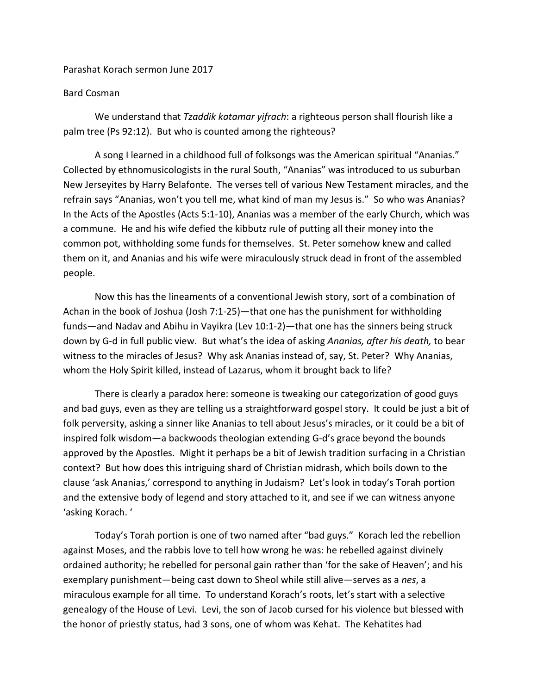## Parashat Korach sermon June 2017

## Bard Cosman

We understand that *Tzaddik katamar yifrach*: a righteous person shall flourish like a palm tree (Ps 92:12). But who is counted among the righteous?

A song I learned in a childhood full of folksongs was the American spiritual "Ananias." Collected by ethnomusicologists in the rural South, "Ananias" was introduced to us suburban New Jerseyites by Harry Belafonte. The verses tell of various New Testament miracles, and the refrain says "Ananias, won't you tell me, what kind of man my Jesus is." So who was Ananias? In the Acts of the Apostles (Acts 5:1-10), Ananias was a member of the early Church, which was a commune. He and his wife defied the kibbutz rule of putting all their money into the common pot, withholding some funds for themselves. St. Peter somehow knew and called them on it, and Ananias and his wife were miraculously struck dead in front of the assembled people.

Now this has the lineaments of a conventional Jewish story, sort of a combination of Achan in the book of Joshua (Josh 7:1-25)—that one has the punishment for withholding funds—and Nadav and Abihu in Vayikra (Lev 10:1-2)—that one has the sinners being struck down by G-d in full public view. But what's the idea of asking *Ananias, after his death,* to bear witness to the miracles of Jesus? Why ask Ananias instead of, say, St. Peter? Why Ananias, whom the Holy Spirit killed, instead of Lazarus, whom it brought back to life?

There is clearly a paradox here: someone is tweaking our categorization of good guys and bad guys, even as they are telling us a straightforward gospel story. It could be just a bit of folk perversity, asking a sinner like Ananias to tell about Jesus's miracles, or it could be a bit of inspired folk wisdom—a backwoods theologian extending G-d's grace beyond the bounds approved by the Apostles. Might it perhaps be a bit of Jewish tradition surfacing in a Christian context? But how does this intriguing shard of Christian midrash, which boils down to the clause 'ask Ananias,' correspond to anything in Judaism? Let's look in today's Torah portion and the extensive body of legend and story attached to it, and see if we can witness anyone 'asking Korach. '

Today's Torah portion is one of two named after "bad guys." Korach led the rebellion against Moses, and the rabbis love to tell how wrong he was: he rebelled against divinely ordained authority; he rebelled for personal gain rather than 'for the sake of Heaven'; and his exemplary punishment—being cast down to Sheol while still alive—serves as a *nes*, a miraculous example for all time. To understand Korach's roots, let's start with a selective genealogy of the House of Levi. Levi, the son of Jacob cursed for his violence but blessed with the honor of priestly status, had 3 sons, one of whom was Kehat. The Kehatites had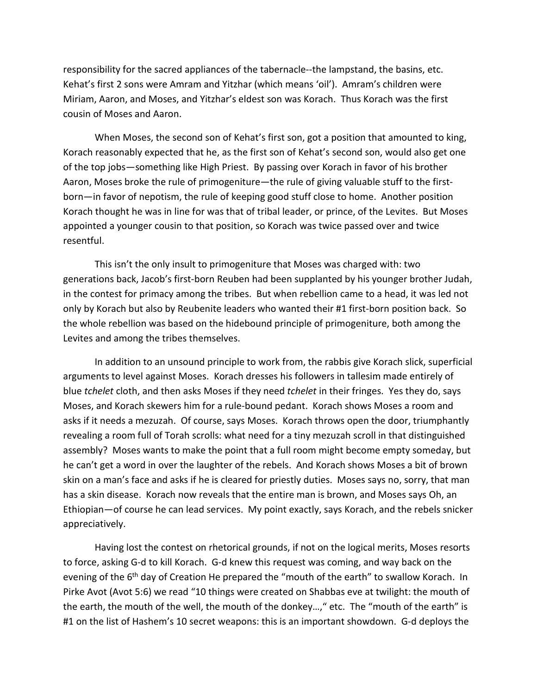responsibility for the sacred appliances of the tabernacle--the lampstand, the basins, etc. Kehat's first 2 sons were Amram and Yitzhar (which means 'oil'). Amram's children were Miriam, Aaron, and Moses, and Yitzhar's eldest son was Korach. Thus Korach was the first cousin of Moses and Aaron.

When Moses, the second son of Kehat's first son, got a position that amounted to king, Korach reasonably expected that he, as the first son of Kehat's second son, would also get one of the top jobs—something like High Priest. By passing over Korach in favor of his brother Aaron, Moses broke the rule of primogeniture—the rule of giving valuable stuff to the firstborn—in favor of nepotism, the rule of keeping good stuff close to home. Another position Korach thought he was in line for was that of tribal leader, or prince, of the Levites. But Moses appointed a younger cousin to that position, so Korach was twice passed over and twice resentful.

This isn't the only insult to primogeniture that Moses was charged with: two generations back, Jacob's first-born Reuben had been supplanted by his younger brother Judah, in the contest for primacy among the tribes. But when rebellion came to a head, it was led not only by Korach but also by Reubenite leaders who wanted their #1 first-born position back. So the whole rebellion was based on the hidebound principle of primogeniture, both among the Levites and among the tribes themselves.

In addition to an unsound principle to work from, the rabbis give Korach slick, superficial arguments to level against Moses. Korach dresses his followers in tallesim made entirely of blue *tchelet* cloth, and then asks Moses if they need *tchelet* in their fringes. Yes they do, says Moses, and Korach skewers him for a rule-bound pedant. Korach shows Moses a room and asks if it needs a mezuzah. Of course, says Moses. Korach throws open the door, triumphantly revealing a room full of Torah scrolls: what need for a tiny mezuzah scroll in that distinguished assembly? Moses wants to make the point that a full room might become empty someday, but he can't get a word in over the laughter of the rebels. And Korach shows Moses a bit of brown skin on a man's face and asks if he is cleared for priestly duties. Moses says no, sorry, that man has a skin disease. Korach now reveals that the entire man is brown, and Moses says Oh, an Ethiopian—of course he can lead services. My point exactly, says Korach, and the rebels snicker appreciatively.

Having lost the contest on rhetorical grounds, if not on the logical merits, Moses resorts to force, asking G-d to kill Korach. G-d knew this request was coming, and way back on the evening of the  $6<sup>th</sup>$  day of Creation He prepared the "mouth of the earth" to swallow Korach. In Pirke Avot (Avot 5:6) we read "10 things were created on Shabbas eve at twilight: the mouth of the earth, the mouth of the well, the mouth of the donkey…," etc. The "mouth of the earth" is #1 on the list of Hashem's 10 secret weapons: this is an important showdown. G-d deploys the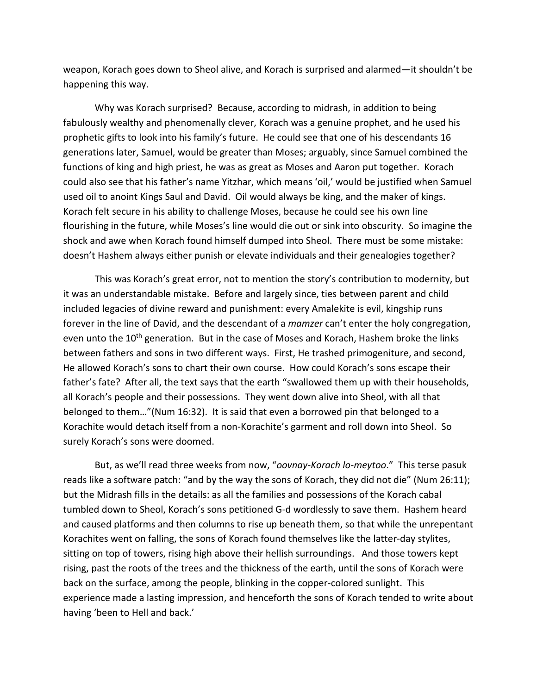weapon, Korach goes down to Sheol alive, and Korach is surprised and alarmed—it shouldn't be happening this way.

Why was Korach surprised? Because, according to midrash, in addition to being fabulously wealthy and phenomenally clever, Korach was a genuine prophet, and he used his prophetic gifts to look into his family's future. He could see that one of his descendants 16 generations later, Samuel, would be greater than Moses; arguably, since Samuel combined the functions of king and high priest, he was as great as Moses and Aaron put together. Korach could also see that his father's name Yitzhar, which means 'oil,' would be justified when Samuel used oil to anoint Kings Saul and David. Oil would always be king, and the maker of kings. Korach felt secure in his ability to challenge Moses, because he could see his own line flourishing in the future, while Moses's line would die out or sink into obscurity. So imagine the shock and awe when Korach found himself dumped into Sheol. There must be some mistake: doesn't Hashem always either punish or elevate individuals and their genealogies together?

This was Korach's great error, not to mention the story's contribution to modernity, but it was an understandable mistake. Before and largely since, ties between parent and child included legacies of divine reward and punishment: every Amalekite is evil, kingship runs forever in the line of David, and the descendant of a *mamzer* can't enter the holy congregation, even unto the 10<sup>th</sup> generation. But in the case of Moses and Korach, Hashem broke the links between fathers and sons in two different ways. First, He trashed primogeniture, and second, He allowed Korach's sons to chart their own course. How could Korach's sons escape their father's fate? After all, the text says that the earth "swallowed them up with their households, all Korach's people and their possessions. They went down alive into Sheol, with all that belonged to them…"(Num 16:32). It is said that even a borrowed pin that belonged to a Korachite would detach itself from a non-Korachite's garment and roll down into Sheol. So surely Korach's sons were doomed.

But, as we'll read three weeks from now, "*oovnay-Korach lo-meytoo*." This terse pasuk reads like a software patch: "and by the way the sons of Korach, they did not die" (Num 26:11); but the Midrash fills in the details: as all the families and possessions of the Korach cabal tumbled down to Sheol, Korach's sons petitioned G-d wordlessly to save them. Hashem heard and caused platforms and then columns to rise up beneath them, so that while the unrepentant Korachites went on falling, the sons of Korach found themselves like the latter-day stylites, sitting on top of towers, rising high above their hellish surroundings. And those towers kept rising, past the roots of the trees and the thickness of the earth, until the sons of Korach were back on the surface, among the people, blinking in the copper-colored sunlight. This experience made a lasting impression, and henceforth the sons of Korach tended to write about having 'been to Hell and back.'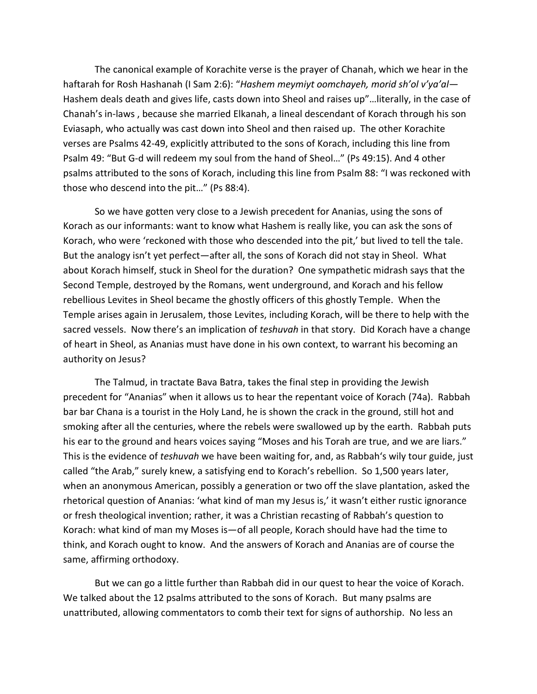The canonical example of Korachite verse is the prayer of Chanah, which we hear in the haftarah for Rosh Hashanah (I Sam 2:6): "*Hashem meymiyt oomchayeh, morid sh'ol v'ya'al—* Hashem deals death and gives life, casts down into Sheol and raises up"…literally, in the case of Chanah's in-laws , because she married Elkanah, a lineal descendant of Korach through his son Eviasaph, who actually was cast down into Sheol and then raised up. The other Korachite verses are Psalms 42-49, explicitly attributed to the sons of Korach, including this line from Psalm 49: "But G-d will redeem my soul from the hand of Sheol…" (Ps 49:15). And 4 other psalms attributed to the sons of Korach, including this line from Psalm 88: "I was reckoned with those who descend into the pit…" (Ps 88:4).

So we have gotten very close to a Jewish precedent for Ananias, using the sons of Korach as our informants: want to know what Hashem is really like, you can ask the sons of Korach, who were 'reckoned with those who descended into the pit,' but lived to tell the tale. But the analogy isn't yet perfect—after all, the sons of Korach did not stay in Sheol. What about Korach himself, stuck in Sheol for the duration? One sympathetic midrash says that the Second Temple, destroyed by the Romans, went underground, and Korach and his fellow rebellious Levites in Sheol became the ghostly officers of this ghostly Temple. When the Temple arises again in Jerusalem, those Levites, including Korach, will be there to help with the sacred vessels. Now there's an implication of *teshuvah* in that story.Did Korach have a change of heart in Sheol, as Ananias must have done in his own context, to warrant his becoming an authority on Jesus?

The Talmud, in tractate Bava Batra, takes the final step in providing the Jewish precedent for "Ananias" when it allows us to hear the repentant voice of Korach (74a). Rabbah bar bar Chana is a tourist in the Holy Land, he is shown the crack in the ground, still hot and smoking after all the centuries, where the rebels were swallowed up by the earth. Rabbah puts his ear to the ground and hears voices saying "Moses and his Torah are true, and we are liars." This is the evidence of *teshuvah* we have been waiting for, and, as Rabbah's wily tour guide, just called "the Arab," surely knew, a satisfying end to Korach's rebellion. So 1,500 years later, when an anonymous American, possibly a generation or two off the slave plantation, asked the rhetorical question of Ananias: 'what kind of man my Jesus is,' it wasn't either rustic ignorance or fresh theological invention; rather, it was a Christian recasting of Rabbah's question to Korach: what kind of man my Moses is—of all people, Korach should have had the time to think, and Korach ought to know. And the answers of Korach and Ananias are of course the same, affirming orthodoxy.

But we can go a little further than Rabbah did in our quest to hear the voice of Korach. We talked about the 12 psalms attributed to the sons of Korach. But many psalms are unattributed, allowing commentators to comb their text for signs of authorship. No less an